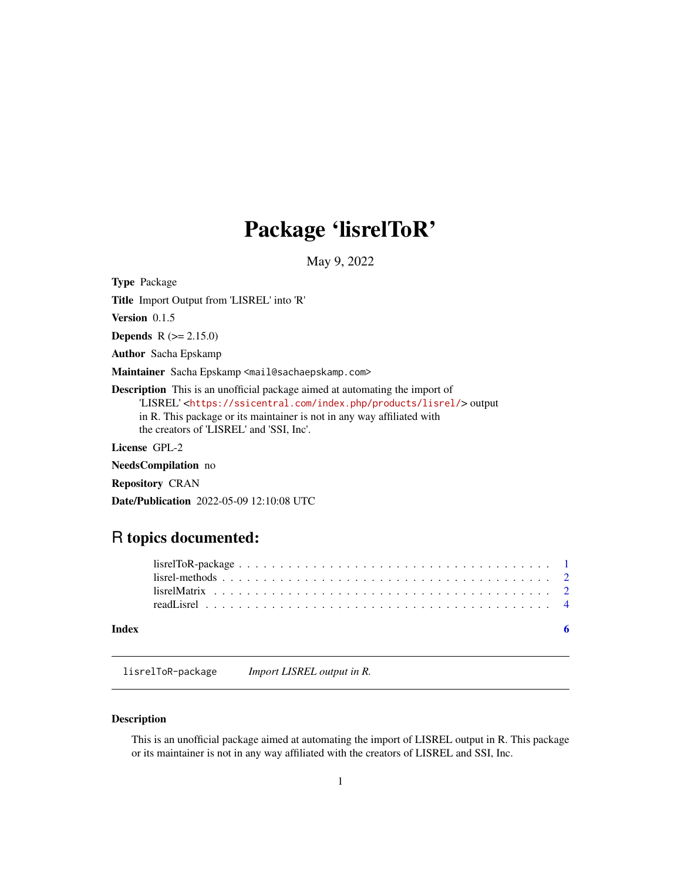## <span id="page-0-0"></span>Package 'lisrelToR'

May 9, 2022

Type Package

Title Import Output from 'LISREL' into 'R'

Version 0.1.5

**Depends** R  $(>= 2.15.0)$ 

Author Sacha Epskamp

Maintainer Sacha Epskamp <mail@sachaepskamp.com>

Description This is an unofficial package aimed at automating the import of 'LISREL' <<https://ssicentral.com/index.php/products/lisrel/>> output in R. This package or its maintainer is not in any way affiliated with the creators of 'LISREL' and 'SSI, Inc'.

License GPL-2

NeedsCompilation no

Repository CRAN

Date/Publication 2022-05-09 12:10:08 UTC

### R topics documented:

|       | $lisrelToR-package \ldots \ldots \ldots \ldots \ldots \ldots \ldots \ldots \ldots \ldots \ldots \ldots \ldots 1$ |  |
|-------|------------------------------------------------------------------------------------------------------------------|--|
|       |                                                                                                                  |  |
|       |                                                                                                                  |  |
|       |                                                                                                                  |  |
| Index |                                                                                                                  |  |

lisrelToR-package *Import LISREL output in R.*

#### Description

This is an unofficial package aimed at automating the import of LISREL output in R. This package or its maintainer is not in any way affiliated with the creators of LISREL and SSI, Inc.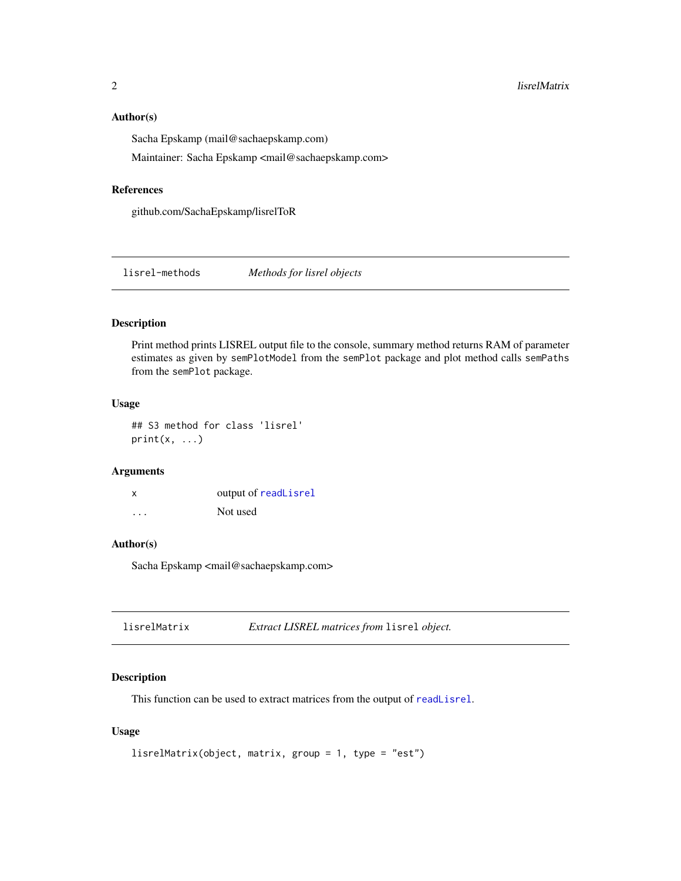#### <span id="page-1-0"></span>Author(s)

Sacha Epskamp (mail@sachaepskamp.com)

Maintainer: Sacha Epskamp <mail@sachaepskamp.com>

#### References

github.com/SachaEpskamp/lisrelToR

lisrel-methods *Methods for lisrel objects*

#### Description

Print method prints LISREL output file to the console, summary method returns RAM of parameter estimates as given by semPlotModel from the semPlot package and plot method calls semPaths from the semPlot package.

#### Usage

## S3 method for class 'lisrel'  $print(x, \ldots)$ 

#### Arguments

| x                       | output of readLisrel |
|-------------------------|----------------------|
| $\cdot$ $\cdot$ $\cdot$ | Not used             |

#### Author(s)

Sacha Epskamp <mail@sachaepskamp.com>

<span id="page-1-1"></span>

#### Description

This function can be used to extract matrices from the output of [readLisrel](#page-3-1).

#### Usage

```
lisrelMatrix(object, matrix, group = 1, type = "est")
```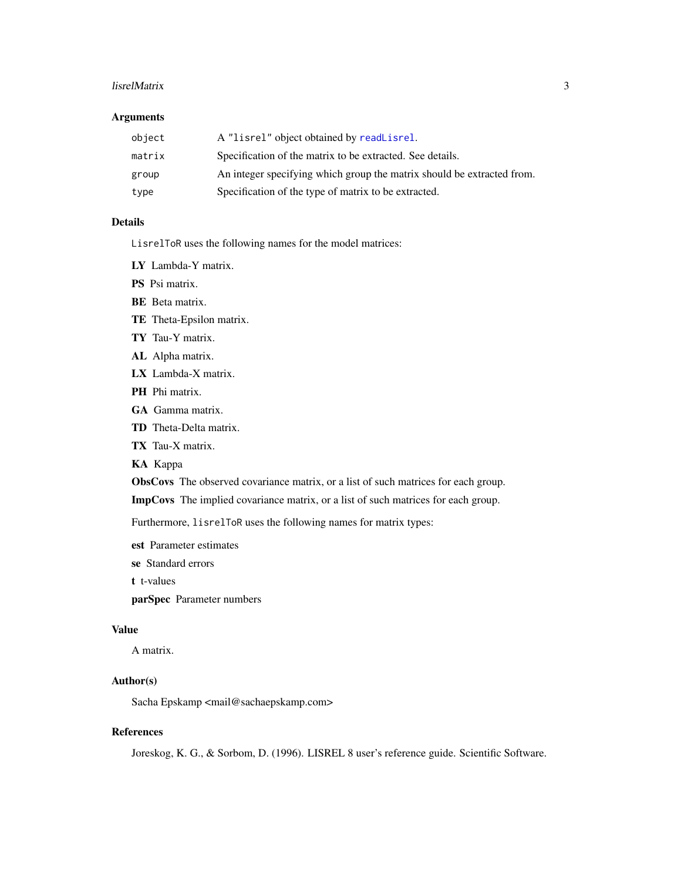#### lisrelMatrix 3

#### Arguments

| object | A "lisrel" object obtained by readLisrel.                              |
|--------|------------------------------------------------------------------------|
| matrix | Specification of the matrix to be extracted. See details.              |
| group  | An integer specifying which group the matrix should be extracted from. |
| type   | Specification of the type of matrix to be extracted.                   |

#### Details

LisrelToR uses the following names for the model matrices:

LY Lambda-Y matrix.

PS Psi matrix.

BE Beta matrix.

TE Theta-Epsilon matrix.

TY Tau-Y matrix.

AL Alpha matrix.

LX Lambda-X matrix.

PH Phi matrix.

GA Gamma matrix.

TD Theta-Delta matrix.

TX Tau-X matrix.

KA Kappa

ObsCovs The observed covariance matrix, or a list of such matrices for each group.

ImpCovs The implied covariance matrix, or a list of such matrices for each group.

Furthermore, lisrelToR uses the following names for matrix types:

est Parameter estimates

se Standard errors

t t-values

parSpec Parameter numbers

#### Value

A matrix.

#### Author(s)

Sacha Epskamp <mail@sachaepskamp.com>

#### References

Joreskog, K. G., & Sorbom, D. (1996). LISREL 8 user's reference guide. Scientific Software.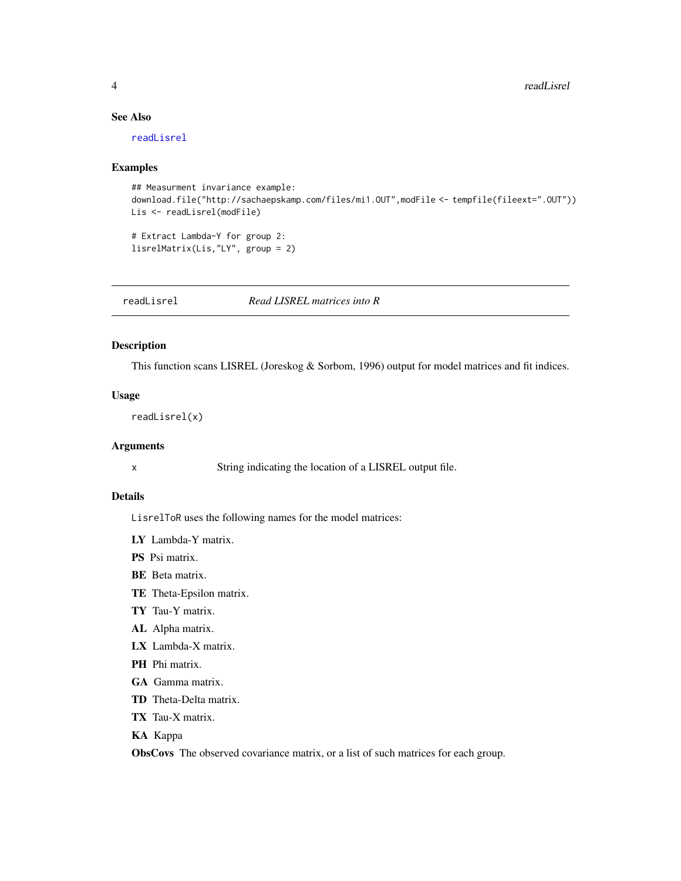#### See Also

[readLisrel](#page-3-1)

#### Examples

```
## Measurment invariance example:
download.file("http://sachaepskamp.com/files/mi1.OUT",modFile <- tempfile(fileext=".OUT"))
Lis <- readLisrel(modFile)
```
# Extract Lambda-Y for group 2: lisrelMatrix(Lis,"LY", group = 2)

<span id="page-3-1"></span>readLisrel *Read LISREL matrices into R*

#### Description

This function scans LISREL (Joreskog & Sorbom, 1996) output for model matrices and fit indices.

#### Usage

readLisrel(x)

#### Arguments

x String indicating the location of a LISREL output file.

#### Details

LisrelToR uses the following names for the model matrices:

- LY Lambda-Y matrix.
- PS Psi matrix.
- BE Beta matrix.
- TE Theta-Epsilon matrix.
- TY Tau-Y matrix.
- AL Alpha matrix.
- LX Lambda-X matrix.
- PH Phi matrix.
- GA Gamma matrix.
- TD Theta-Delta matrix.
- TX Tau-X matrix.
- KA Kappa

ObsCovs The observed covariance matrix, or a list of such matrices for each group.

<span id="page-3-0"></span>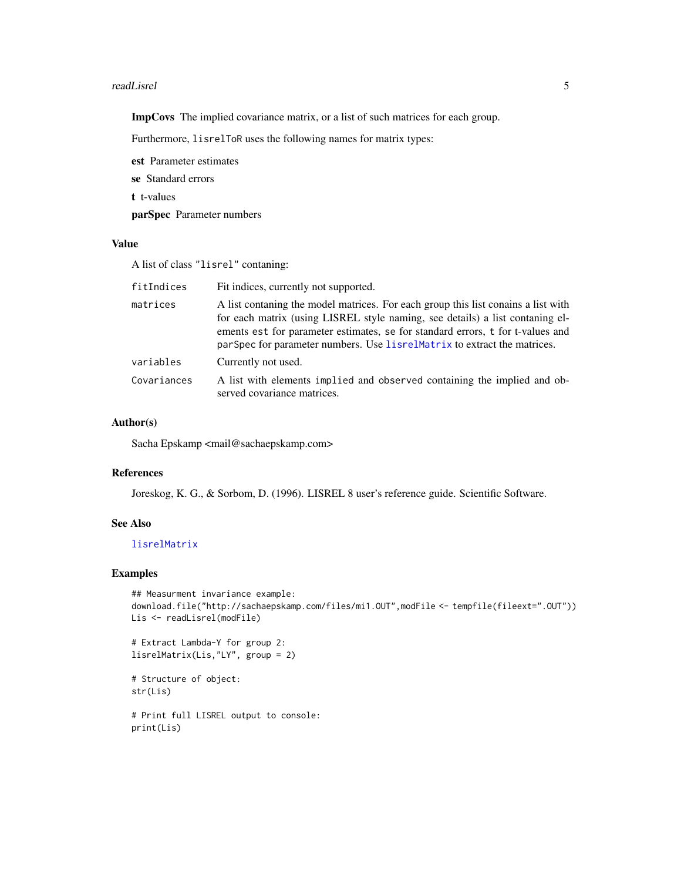#### <span id="page-4-0"></span>readLisrel 5

ImpCovs The implied covariance matrix, or a list of such matrices for each group.

Furthermore, lisrelToR uses the following names for matrix types:

est Parameter estimates se Standard errors

t t-values

parSpec Parameter numbers

#### Value

A list of class "lisrel" contaning:

| Fit indices, currently not supported.                                                                                                                                                                                                                                                                                            |
|----------------------------------------------------------------------------------------------------------------------------------------------------------------------------------------------------------------------------------------------------------------------------------------------------------------------------------|
| A list contaning the model matrices. For each group this list conains a list with<br>for each matrix (using LISREL style naming, see details) a list contaning el-<br>ements est for parameter estimates, se for standard errors, t for t-values and<br>parSpec for parameter numbers. Use lisrelMatrix to extract the matrices. |
| Currently not used.                                                                                                                                                                                                                                                                                                              |
| A list with elements implied and observed containing the implied and ob-<br>served covariance matrices.                                                                                                                                                                                                                          |
|                                                                                                                                                                                                                                                                                                                                  |

#### Author(s)

Sacha Epskamp <mail@sachaepskamp.com>

#### References

Joreskog, K. G., & Sorbom, D. (1996). LISREL 8 user's reference guide. Scientific Software.

#### See Also

#### [lisrelMatrix](#page-1-1)

#### Examples

```
## Measurment invariance example:
download.file("http://sachaepskamp.com/files/mi1.OUT",modFile <- tempfile(fileext=".OUT"))
Lis <- readLisrel(modFile)
```

```
# Extract Lambda-Y for group 2:
lisrelMatrix(Lis,"LY", group = 2)
```

```
# Structure of object:
str(Lis)
```

```
# Print full LISREL output to console:
print(Lis)
```